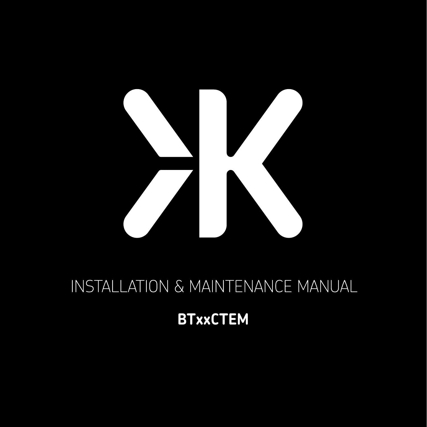

# **INSTALLATION & MAINTENANCE MANUAL**

## **BTxxCTEM**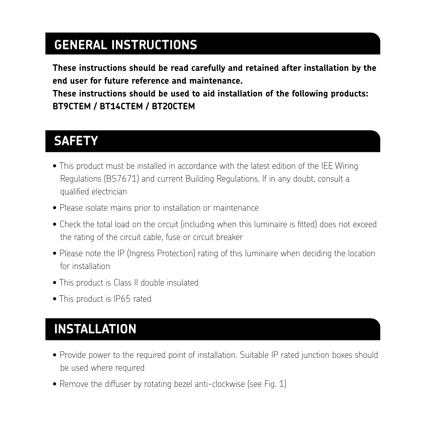## **GENERAL INSTRUCTIONS**

**These instructions should be read carefully and retained after installation by the end user for future reference and maintenance.**

**These instructions should be used to aid installation of the following products: BT9CTEM / BT14CTEM / BT20CTEM** 

## **SAFETY**

- This product must be installed in accordance with the latest edition of the IEE Wiring Regulations (BS7671) and current Building Regulations. If in any doubt, consult a qualified electrician
- Please isolate mains prior to installation or maintenance
- Check the total load on the circuit (including when this luminaire is fitted) does not exceed the rating of the circuit cable, fuse or circuit breaker
- Please note the IP (Ingress Protection) rating of this luminaire when deciding the location for installation
- This product is Class II double insulated
- This product is IP65 rated

## **INSTALLATION**

- Provide power to the required point of installation. Suitable IP rated junction boxes should be used where required
- Remove the diffuser by rotating bezel anti-clockwise (see Fig. 1)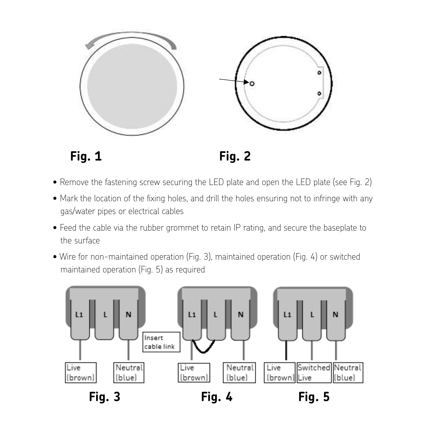

Fig. 1 Fig. 2 Fig. 1 Fig. 2 **Fig. 1 Fig. 2**

- $\bullet$  Remove the fastening screw securing the LED plate and open the LED plate (see Fig. 2)
- . Mark the location of the fixing holes, and drill the holes ensuring not to infringe with any gas/water pipes or electrical cables gas and the state of the state of the state of the state of the state of the state of the state of the state of the state of the state of the state of the state of the state of the stat
- Feed the cable via the rubber grommet to retain IP rating, and secure the baseplate to pipes and cable was the rider.  $\mathbf{u}$  iers cable via the rubber group  $\mathbf{v}$  rating, and secure the surface to the surface to the surface to the surface to the surface to the surface to the surface to the surface to the surface to the surface to th
	- $\bullet$  Wire for non-maintained operation (Fig. 3), maintained operation (Fig. 4) or switched maintained operation (Fig. 5) as required

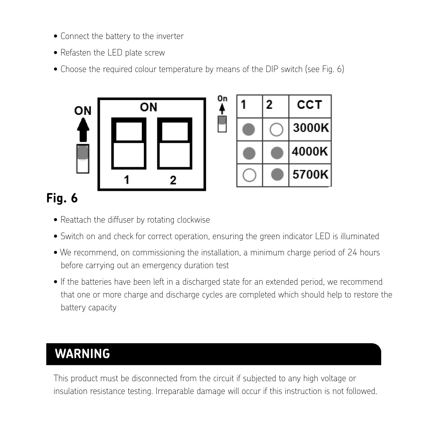- Connect the battery to the inverter
- Refasten the LED plate screw
- Choose the required colour temperature by means of the DIP switch (see Fig. 6)



|  | 2 | сст   |
|--|---|-------|
|  |   | 3000K |
|  |   | 4000K |
|  |   | 5700K |

## **Fig. 6**

- Reattach the diffuser by rotating clockwise
- Reattach the diffuser by rotating clockwise • Switch on and check for correct operation, ensuring the green indicator LED is illuminated • Switch on and check for correct operation, ensuring the green indicator LED is illuminated
- $\bullet$  We recommend, on commissioning the installation, a minimum charge period of 24 hours carrying out an emergency duration test before carrying out an emergency duration test
- If the batteries have been left in a discharged state for an extended period, we recommend that one or more charge and discharge cycles are completed which should help to restore the **connected.** battery capacity

#### This product must be disconnected from the circuit if subjected to any high voltage or insulation resistance **WARNING**

**GENERAL** This product must be disconnected from the circuit if subjected to any high voltage or insulation resistance testing. Irreparable damage will occur if this instruction is not followed.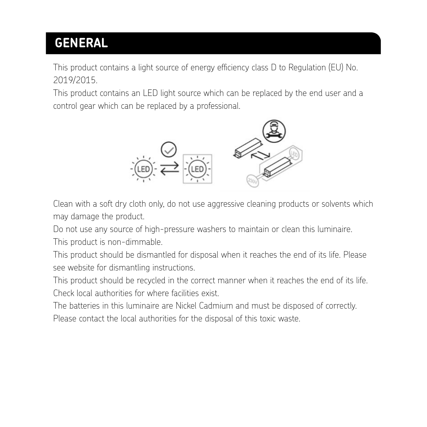## **GENERAL**

This product contains a light source of energy efficiency class D to Regulation (EU) No. 2019/2015.

This product contains an LED light source which can be replaced by the end user and a be replaced by a professional. control gear which can be replaced by a professional.



Clean with a soft dry cloth only, do not use aggressive cleaning products or solvents which may damage the product.

Do not use any source of high-pressure washers to maintain or clean this luminaire. Do not use any source of high-pressure washers to maintain or clean this luminaire. This product is non-dimmable.

This product should be dismantled for disposal when it reaches the end of its life. Please see website for dismantling instructions. Please see website for dismantling instructions.

This product should be recycled in the correct manner when it reaches the end of its life. This product should be recycled in the correct manner when it reaches the end of its life. Check local authorities Check local authorities for where facilities exist.

The batteries in this luminaire are Nickel Cadmium and must be disposed of correctly. Please contact the local authorities for the disposal of this toxic waste.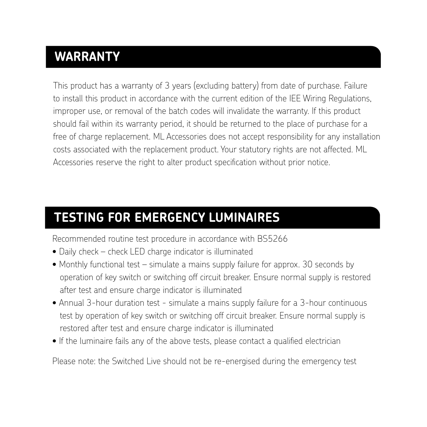## **WARRANTY**

This product has a warranty of 3 years (excluding battery) from date of purchase. Failure to install this product in accordance with the current edition of the IEE Wiring Regulations, improper use, or removal of the batch codes will invalidate the warranty. If this product should fail within its warranty period, it should be returned to the place of purchase for a free of charge replacement. ML Accessories does not accept responsibility for any installation costs associated with the replacement product. Your statutory rights are not affected. ML Accessories reserve the right to alter product specification without prior notice.

#### **TESTING FOR EMERGENCY LUMINAIRES**

Recommended routine test procedure in accordance with BS5266

- Daily check check LED charge indicator is illuminated
- Monthly functional test simulate a mains supply failure for approx. 30 seconds by operation of key switch or switching off circuit breaker. Ensure normal supply is restored after test and ensure charge indicator is illuminated
- Annual 3-hour duration test simulate a mains supply failure for a 3-hour continuous test by operation of key switch or switching off circuit breaker. Ensure normal supply is restored after test and ensure charge indicator is illuminated
- If the luminaire fails any of the above tests, please contact a qualified electrician

Please note: the Switched Live should not be re-energised during the emergency test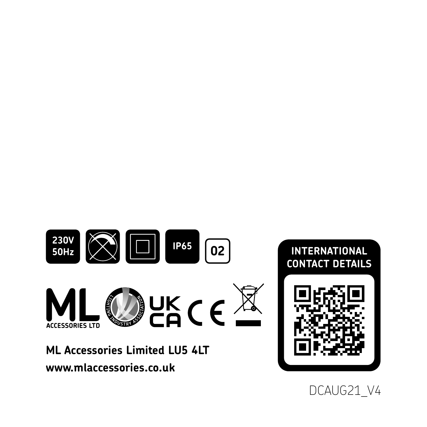

DCAUG21\_V4